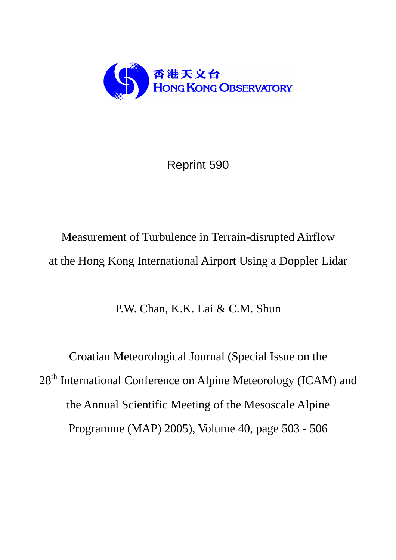

Reprint 590

Measurement of Turbulence in Terrain-disrupted Airflow at the Hong Kong International Airport Using a Doppler Lidar

P.W. Chan, K.K. Lai & C.M. Shun

Croatian Meteorological Journal (Special Issue on the 28<sup>th</sup> International Conference on Alpine Meteorology (ICAM) and the Annual Scientific Meeting of the Mesoscale Alpine Programme (MAP) 2005), Volume 40, page 503 - 506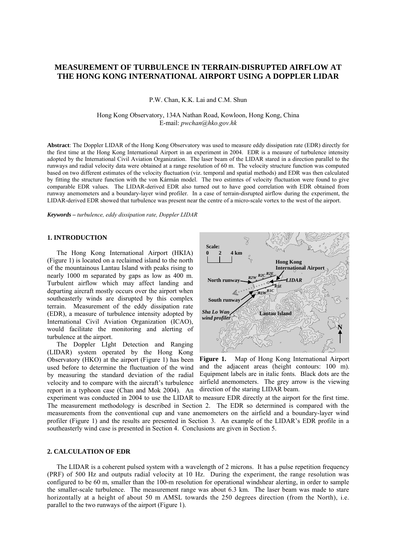# **MEASUREMENT OF TURBULENCE IN TERRAIN-DISRUPTED AIRFLOW AT THE HONG KONG INTERNATIONAL AIRPORT USING A DOPPLER LIDAR**

P.W. Chan, K.K. Lai and C.M. Shun

Hong Kong Observatory, 134A Nathan Road, Kowloon, Hong Kong, China E-mail: *pwchan@hko.gov.hk*

**Abstract**: The Doppler LIDAR of the Hong Kong Observatory was used to measure eddy dissipation rate (EDR) directly for the first time at the Hong Kong International Airport in an experiment in 2004. EDR is a measure of turbulence intensity adopted by the International Civil Aviation Organization. The laser beam of the LIDAR stared in a direction parallel to the runways and radial velocity data were obtained at a range resolution of 60 m. The velocity structure function was computed based on two different estimates of the velocity fluctuation (viz. temporal and spatial methods) and EDR was then calculated by fitting the structure function with the von Kármán model. The two estimtes of velocity fluctuation were found to give comparable EDR values. The LIDAR-derived EDR also turned out to have good correlation with EDR obtained from runway anemometers and a boundary-layer wind profiler. In a case of terrain-disrupted airflow during the experiment, the LIDAR-derived EDR showed that turbulence was present near the centre of a micro-scale vortex to the west of the airport.

*Keywords – turbulence, eddy dissipation rate, Doppler LIDAR* 

## **1. INTRODUCTION**

 The Hong Kong International Airport (HKIA) (Figure 1) is located on a reclaimed island to the north of the mountainous Lantau Island with peaks rising to nearly 1000 m separated by gaps as low as 400 m. Turbulent airflow which may affect landing and departing aircraft mostly occurs over the airport when southeasterly winds are disrupted by this complex terrain. Measurement of the eddy dissipation rate (EDR), a measure of turbulence intensity adopted by International Civil Aviation Organization (ICAO), would facilitate the monitoring and alerting of turbulence at the airport.

report in a typhoon case (Chan and Mok 2004). An direction of the staring LIDAR beam. The Doppler LIght Detection and Ranging (LIDAR) system operated by the Hong Kong Observatory (HKO) at the airport (Figure 1) has been used before to determine the fluctuation of the wind by measuring the standard deviation of the radial velocity and to compare with the aircraft's turbulence



**Figure 1.** Map of Hong Kong International Airport and the adjacent areas (height contours: 100 m). Equipment labels are in italic fonts. Black dots are the airfield anemometers. The grey arrow is the viewing

experiment was conducted in 2004 to use the LIDAR to measure EDR directly at the airport for the first time. The measurement methodology is described in Section 2. The EDR so determined is compared with the measurements from the conventional cup and vane anemometers on the airfield and a boundary-layer wind profiler (Figure 1) and the results are presented in Section 3. An example of the LIDAR's EDR profile in a southeasterly wind case is presented in Section 4. Conclusions are given in Section 5.

#### **2. CALCULATION OF EDR**

 The LIDAR is a coherent pulsed system with a wavelength of 2 microns. It has a pulse repetition frequency (PRF) of 500 Hz and outputs radial velocity at 10 Hz. During the experiment, the range resolution was configured to be 60 m, smaller than the 100-m resolution for operational windshear alerting, in order to sample the smaller-scale turbulence. The measurement range was about 6.3 km. The laser beam was made to stare horizontally at a height of about 50 m AMSL towards the 250 degrees direction (from the North), i.e. parallel to the two runways of the airport (Figure 1).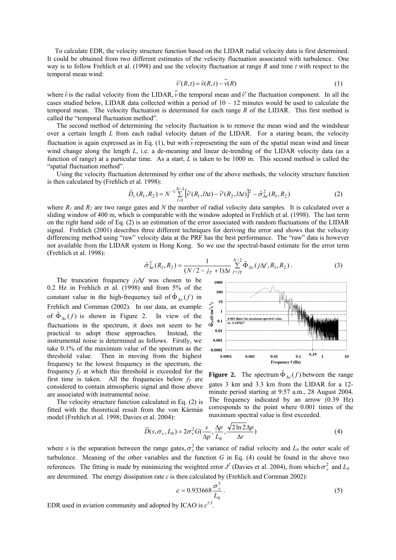To calculate EDR, the velocity structure function based on the LIDAR radial velocity data is first determined. It could be obtained from two different estimates of the velocity fluctuation associated with turbulence. One way is to follow Frehlich et al. (1998) and use the velocity fluctuation at range *R* and time *t* with respect to the temporal mean wind:

$$
\hat{\nu}'(R,t) = \hat{\nu}(R,t) - \overline{\nu}(R) \tag{1}
$$

where  $\hat{v}$  is the radial velocity from the LIDAR,  $\hat{v}$  the temporal mean and  $\hat{v}'$  the fluctuation component. In all the cases studied below, LIDAR data collected within a period of  $10 - 12$  minutes would be used to calculate the temporal mean. The velocity fluctuation is determined for each range *R* of the LIDAR. This first method is called the "temporal fluctuation method".

 The second method of determining the velocity fluctuation is to remove the mean wind and the windshear over a certain length *L* from each radial velocity datum of the LIDAR. For a staring beam, the velocity fluctuation is again expressed as in Eq. (1), but with *v* representing the sum of the spatial mean wind and linear wind change along the length *L*, i.e. a de-meaning and linear de-trending of the LIDAR velocity data (as a function of range) at a particular time. As a start, *L* is taken to be 1000 m. This second method is called the "spatial fluctuation method".

 Using the velocity fluctuation determined by either one of the above methods, the velocity structure function is then calculated by (Frehlich et al. 1998):

$$
\hat{D}_{\nu}(R_1, R_2) = N^{-1} \sum_{l=1}^{N-1} [\hat{v}^{\dagger}(R_1, l\Delta t) - \hat{v}^{\dagger}(R_2, l\Delta t)]^2 - \hat{\sigma}_{\Delta e}^2(R_1, R_2)
$$
\n(2)

where  $R_1$  and  $R_2$  are two range gates and N the number of radial velocity data samples. It is calculated over a sliding window of 400 m, which is comparable with the window adopted in Frehlich et al. (1998). The last term on the right hand side of Eq. (2) is an estimation of the error associated with random fluctuations of the LIDAR signal. Frehlich (2001) describes three different techniques for deriving the error and shows that the velocity differencing method using "raw" velocity data at the PRF has the best performance. The "raw" data is however not available from the LIDAR system in Hong Kong. So we use the spectral-based estimate for the error term (Frehlich et al. 1998):

$$
\hat{\sigma}_{\Delta e}^2(R_1, R_2) = \frac{1}{(N/2 - j_T + 1)\Delta t} \sum_{j=j_T}^{N/2} \hat{\Phi}_{\Delta v}(j\Delta f, R_1, R_2).
$$
 (3)

The truncation frequency  $j_T\Delta f$  was chosen to be 0.2 Hz in Frehlich et al. (1998) and from 5% of the constant value in the high-frequency tail of  $\hat{\Phi}_{\Delta\nu}(f)$  in Frehlich and Cornman (2002). In our data, an example of  $\hat{\Phi}_{\Lambda\nu}(f)$  is shown in Figure 2. In view of the fluctuations in the spectrum, it does not seem to be practical to adopt these approaches. Instead, the instrumental noise is determined as follows. Firstly, we take 0.1% of the maximum value of the spectrum as the threshold value. Then in moving from the highest frequency to the lowest frequency in the spectrum, the frequency  $f<sub>T</sub>$  at which this threshold is exceeded for the first time is taken. All the frequencies below  $f_T$  are considered to contain atmospheric signal and those above are associated with instrumental noise.

 The velocity structure function calculated in Eq. (2) is fitted with the theoretical result from the von Kármán model (Frehlich et al. 1998; Davies et al. 2004):



**Figure 2.** The spectrum  $\hat{\Phi}_{\Delta y}(f)$  between the range gates 3 km and 3.3 km from the LIDAR for a 12 minute period starting at 9:57 a.m., 28 August 2004. The frequency indicated by an arrow (0.39 Hz) corresponds to the point where 0.001 times of the maximum spectral value is first exceeded.

$$
\widetilde{D}(s, \sigma_{v}, L_0) = 2\sigma_v^2 G(\frac{s}{\Delta p}, \frac{\Delta p}{L_0}, \frac{\sqrt{2\ln 2\Delta p}}{\Delta r})
$$
\n(4)

where *s* is the separation between the range gates,  $\sigma_v^2$  the variance of radial velocity and  $L_0$  the outer scale of turbulence. Meaning of the other variables and the function *G* in Eq. (4) could be found in the above two references. The fitting is made by minimizing the weighted error  $J^2$  (Davies et al. 2004), from which  $\sigma_v^2$  and  $L_0$ are determined. The energy dissipation rate  $\varepsilon$  is then calculated by (Frehlich and Cornman 2002):

$$
\varepsilon = 0.933668 \frac{\sigma_v^3}{L_0} \,. \tag{5}
$$

EDR used in aviation community and adopted by ICAO is  $\varepsilon^{1/3}$ .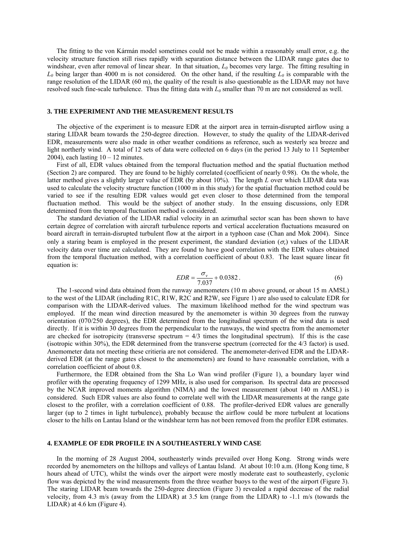The fitting to the von Kármán model sometimes could not be made within a reasonably small error, e.g. the velocity structure function still rises rapidly with separation distance between the LIDAR range gates due to windshear, even after removal of linear shear. In that situation,  $L_0$  becomes very large. The fitting resulting in  $L_0$  being larger than 4000 m is not considered. On the other hand, if the resulting  $L_0$  is comparable with the range resolution of the LIDAR (60 m), the quality of the result is also questionable as the LIDAR may not have resolved such fine-scale turbulence. Thus the fitting data with  $L_0$  smaller than 70 m are not considered as well.

### **3. THE EXPERIMENT AND THE MEASUREMENT RESULTS**

 The objective of the experiment is to measure EDR at the airport area in terrain-disrupted airflow using a staring LIDAR beam towards the 250-degree direction. However, to study the quality of the LIDAR-derived EDR, measurements were also made in other weather conditions as reference, such as westerly sea breeze and light northerly wind. A total of 12 sets of data were collected on 6 days (in the period 13 July to 11 September 2004), each lasting  $10 - 12$  minutes.

 First of all, EDR values obtained from the temporal fluctuation method and the spatial fluctuation method (Section 2) are compared. They are found to be highly correlated (coefficient of nearly 0.98). On the whole, the latter method gives a slightly larger value of EDR (by about 10%). The length *L* over which LIDAR data was used to calculate the velocity structure function (1000 m in this study) for the spatial fluctuation method could be varied to see if the resulting EDR values would get even closer to those determined from the temporal fluctuation method. This would be the subject of another study. In the ensuing discussions, only EDR determined from the temporal fluctuation method is considered.

 The standard deviation of the LIDAR radial velocity in an azimuthal sector scan has been shown to have certain degree of correlation with aircraft turbulence reports and vertical acceleration fluctuations measured on board aircraft in terrain-disrupted turbulent flow at the airport in a typhoon case (Chan and Mok 2004). Since only a staring beam is employed in the present experiment, the standard deviation  $(\sigma_v)$  values of the LIDAR velocity data over time are calculated. They are found to have good correlation with the EDR values obtained from the temporal fluctuation method, with a correlation coefficient of about 0.83. The least square linear fit equation is:

$$
EDR = \frac{\sigma_v}{7.037} + 0.0382.
$$
 (6)

 The 1-second wind data obtained from the runway anemometers (10 m above ground, or about 15 m AMSL) to the west of the LIDAR (including R1C, R1W, R2C and R2W, see Figure 1) are also used to calculate EDR for comparison with the LIDAR-derived values. The maximum likelihood method for the wind spectrum was employed. If the mean wind direction measured by the anemometer is within 30 degrees from the runway orientation (070/250 degrees), the EDR determined from the longitudinal spectrum of the wind data is used directly. If it is within 30 degrees from the perpendicular to the runways, the wind spectra from the anemometer are checked for isotropicity (transverse spectrum  $= 4/3$  times the longitudinal spectrum). If this is the case (isotropic within 30%), the EDR determined from the transverse spectrum (corrected for the 4/3 factor) is used. Anemometer data not meeting these critieria are not considered. The anemometer-derived EDR and the LIDARderived EDR (at the range gates closest to the anemometers) are found to have reasonable correlation, with a correlation coefficient of about 0.8.

 Furthermore, the EDR obtained from the Sha Lo Wan wind profiler (Figure 1), a boundary layer wind profiler with the operating frequency of 1299 MHz, is also used for comparison. Its spectral data are processed by the NCAR improved moments algorithm (NIMA) and the lowest measurement (about 140 m AMSL) is considered. Such EDR values are also found to correlate well with the LIDAR measurements at the range gate closest to the profiler, with a correlation coefficient of 0.88. The profiler-derived EDR values are generally larger (up to 2 times in light turbulence), probably because the airflow could be more turbulent at locations closer to the hills on Lantau Island or the windshear term has not been removed from the profiler EDR estimates.

## **4. EXAMPLE OF EDR PROFILE IN A SOUTHEASTERLY WIND CASE**

 In the morning of 28 August 2004, southeasterly winds prevailed over Hong Kong. Strong winds were recorded by anemometers on the hilltops and valleys of Lantau Island. At about 10:10 a.m. (Hong Kong time, 8 hours ahead of UTC), whilst the winds over the airport were mostly moderate east to southeasterly, cyclonic flow was depicted by the wind measurements from the three weather buoys to the west of the airport (Figure 3). The staring LIDAR beam towards the 250-degree direction (Figure 3) revealed a rapid decrease of the radial velocity, from 4.3 m/s (away from the LIDAR) at 3.5 km (range from the LIDAR) to -1.1 m/s (towards the LIDAR) at 4.6 km (Figure 4).